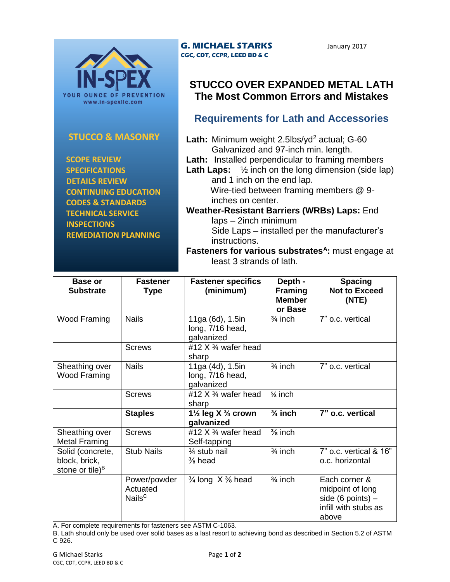

#### **STUCCO & MASONRY**

 **SCOPE REVIEW SPECIFICATIONS DETAILS REVIEW CONTINUING EDUCATION CODES & STANDARDS TECHNICAL SERVICE INSPECTIONS REMEDIATION PLANNING**

#### **G. MICHAEL STARKS CGC, CDT, CCPR, LEED BD & C**

January 2017

## **STUCCO OVER EXPANDED METAL LATH The Most Common Errors and Mistakes**

## **Requirements for Lath and Accessories**

- Lath: Minimum weight 2.5lbs/yd<sup>2</sup> actual; G-60 Galvanized and 97-inch min. length.
- **Lath:** Installed perpendicular to framing members
- **Lath Laps:** ½ inch on the long dimension (side lap) and 1 inch on the end lap. Wire-tied between framing members @ 9-

inches on center. **Weather-Resistant Barriers (WRBs) Laps:** End laps – 2inch minimum

Side Laps – installed per the manufacturer's instructions.

**Fasteners for various substrates<sup>A</sup>:** must engage at least 3 strands of lath.

| Base or<br><b>Substrate</b>                                      | <b>Fastener</b><br><b>Type</b>                 | <b>Fastener specifics</b><br>(minimum)                  | Depth -<br><b>Framing</b><br><b>Member</b><br>or Base | <b>Spacing</b><br><b>Not to Exceed</b><br>(NTE)                                           |
|------------------------------------------------------------------|------------------------------------------------|---------------------------------------------------------|-------------------------------------------------------|-------------------------------------------------------------------------------------------|
| Wood Framing                                                     | <b>Nails</b>                                   | 11ga (6d), 1.5in<br>long, 7/16 head,<br>galvanized      | $\frac{3}{4}$ inch                                    | 7" o.c. vertical                                                                          |
|                                                                  | <b>Screws</b>                                  | #12 $X$ $\frac{3}{4}$ wafer head<br>sharp               |                                                       |                                                                                           |
| Sheathing over<br><b>Wood Framing</b>                            | <b>Nails</b>                                   | 11ga (4d), 1.5in<br>long, 7/16 head,<br>galvanized      | $\frac{3}{4}$ inch                                    | 7" o.c. vertical                                                                          |
|                                                                  | <b>Screws</b>                                  | #12 $X$ $\frac{3}{4}$ wafer head<br>sharp               | % inch                                                |                                                                                           |
|                                                                  | <b>Staples</b>                                 | 1 $\frac{1}{2}$ leg X $\frac{3}{4}$ crown<br>galvanized | $\frac{3}{4}$ inch                                    | 7" o.c. vertical                                                                          |
| Sheathing over<br><b>Metal Framing</b>                           | <b>Screws</b>                                  | #12 $X$ $\frac{3}{4}$ wafer head<br>Self-tapping        | $\frac{3}{8}$ inch                                    |                                                                                           |
| Solid (concrete,<br>block, brick,<br>stone or tile) <sup>B</sup> | <b>Stub Nails</b>                              | 3⁄4 stub nail<br>$\frac{3}{8}$ head                     | $\frac{3}{4}$ inch                                    | 7" o.c. vertical & 16"<br>o.c. horizontal                                                 |
|                                                                  | Power/powder<br>Actuated<br>Nails <sup>C</sup> | $\frac{3}{4}$ long X $\frac{3}{8}$ head                 | $\frac{3}{4}$ inch                                    | Each corner &<br>midpoint of long<br>side (6 points) $-$<br>infill with stubs as<br>above |

A. For complete requirements for fasteners see ASTM C-1063.

B. Lath should only be used over solid bases as a last resort to achieving bond as described in Section 5.2 of ASTM C 926.